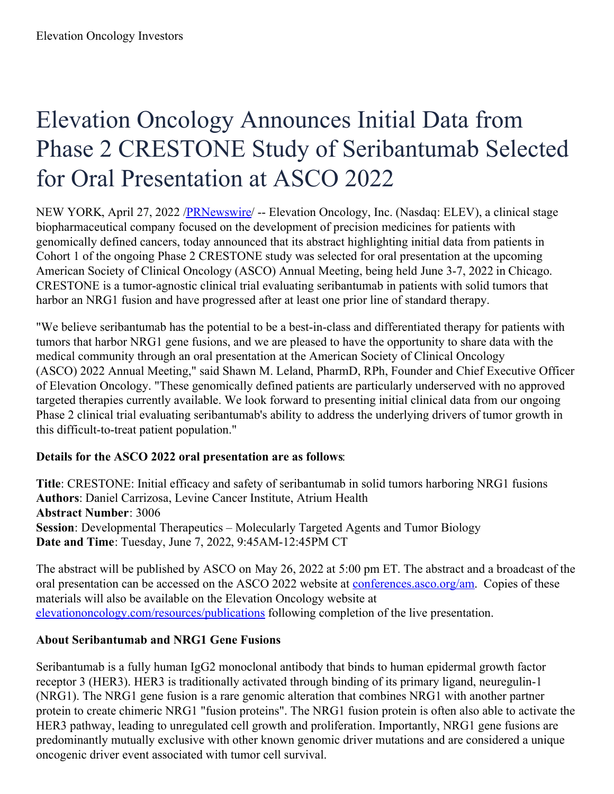# Elevation Oncology Announces Initial Data from Phase 2 CRESTONE Study of Seribantumab Selected for Oral Presentation at ASCO 2022

NEW YORK, April 27, 2022 [/PRNewswire](http://www.prnewswire.com/)/ -- Elevation Oncology, Inc. (Nasdaq: ELEV), a clinical stage biopharmaceutical company focused on the development of precision medicines for patients with genomically defined cancers, today announced that its abstract highlighting initial data from patients in Cohort 1 of the ongoing Phase 2 CRESTONE study was selected for oral presentation at the upcoming American Society of Clinical Oncology (ASCO) Annual Meeting, being held June 3-7, 2022 in Chicago. CRESTONE is a tumor-agnostic clinical trial evaluating seribantumab in patients with solid tumors that harbor an NRG1 fusion and have progressed after at least one prior line of standard therapy.

"We believe seribantumab has the potential to be a best-in-class and differentiated therapy for patients with tumors that harbor NRG1 gene fusions, and we are pleased to have the opportunity to share data with the medical community through an oral presentation at the American Society of Clinical Oncology (ASCO) 2022 Annual Meeting," said Shawn M. Leland, PharmD, RPh, Founder and Chief Executive Officer of Elevation Oncology. "These genomically defined patients are particularly underserved with no approved targeted therapies currently available. We look forward to presenting initial clinical data from our ongoing Phase 2 clinical trial evaluating seribantumab's ability to address the underlying drivers of tumor growth in this difficult-to-treat patient population."

# **Details for the ASCO 2022 oral presentation are as follows**:

**Title**: CRESTONE: Initial efficacy and safety of seribantumab in solid tumors harboring NRG1 fusions **Authors**: Daniel Carrizosa, Levine Cancer Institute, Atrium Health **Abstract Number**: 3006 **Session**: Developmental Therapeutics – Molecularly Targeted Agents and Tumor Biology **Date and Time**: Tuesday, June 7, 2022, 9:45AM-12:45PM CT

The abstract will be published by ASCO on May 26, 2022 at 5:00 pm ET. The abstract and a broadcast of the oral presentation can be accessed on the ASCO 2022 website at [conferences.asco.org/am](https://c212.net/c/link/?t=0&l=en&o=3517247-1&h=3968661088&u=https%3A%2F%2Fconferences.asco.org%2Fam%2Fattend&a=conferences.asco.org%2Fam). Copies of these materials will also be available on the Elevation Oncology website at [elevationoncology.com/resources/publications](https://c212.net/c/link/?t=0&l=en&o=3517247-1&h=1806480148&u=https%3A%2F%2Felevationoncology.com%2Fresources%2Fpublications%2F&a=elevationoncology.com%2Fresources%2Fpublications) following completion of the live presentation.

# **About Seribantumab and NRG1 Gene Fusions**

Seribantumab is a fully human IgG2 monoclonal antibody that binds to human epidermal growth factor receptor 3 (HER3). HER3 is traditionally activated through binding of its primary ligand, neuregulin-1 (NRG1). The NRG1 gene fusion is a rare genomic alteration that combines NRG1 with another partner protein to create chimeric NRG1 "fusion proteins". The NRG1 fusion protein is often also able to activate the HER3 pathway, leading to unregulated cell growth and proliferation. Importantly, NRG1 gene fusions are predominantly mutually exclusive with other known genomic driver mutations and are considered a unique oncogenic driver event associated with tumor cell survival.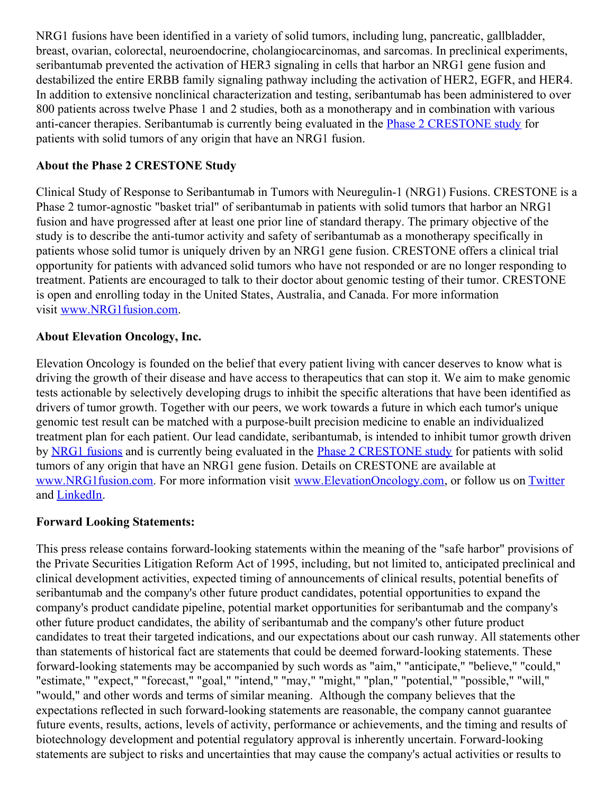NRG1 fusions have been identified in a variety of solid tumors, including lung, pancreatic, gallbladder, breast, ovarian, colorectal, neuroendocrine, cholangiocarcinomas, and sarcomas. In preclinical experiments, seribantumab prevented the activation of HER3 signaling in cells that harbor an NRG1 gene fusion and destabilized the entire ERBB family signaling pathway including the activation of HER2, EGFR, and HER4. In addition to extensive nonclinical characterization and testing, seribantumab has been administered to over 800 patients across twelve Phase 1 and 2 studies, both as a monotherapy and in combination with various anti-cancer therapies. Seribantumab is currently being evaluated in the Phase 2 [CRESTONE](https://c212.net/c/link/?t=0&l=en&o=3517247-1&h=2617726532&u=http%3A%2F%2Fwww.nrg1fusion.com%2F&a=Phase+2+CRESTONE+study) study for patients with solid tumors of any origin that have an NRG1 fusion.

# **About the Phase 2 CRESTONE Study**

Clinical Study of Response to Seribantumab in Tumors with Neuregulin-1 (NRG1) Fusions. CRESTONE is a Phase 2 tumor-agnostic "basket trial" of seribantumab in patients with solid tumors that harbor an NRG1 fusion and have progressed after at least one prior line of standard therapy. The primary objective of the study is to describe the anti-tumor activity and safety of seribantumab as a monotherapy specifically in patients whose solid tumor is uniquely driven by an NRG1 gene fusion. CRESTONE offers a clinical trial opportunity for patients with advanced solid tumors who have not responded or are no longer responding to treatment. Patients are encouraged to talk to their doctor about genomic testing of their tumor. CRESTONE is open and enrolling today in the United States, Australia, and Canada. For more information visit [www.NRG1fusion.com](https://c212.net/c/link/?t=0&l=en&o=3517247-1&h=3723535751&u=http%3A%2F%2Fwww.nrg1fusion.com%2F&a=www.NRG1fusion.com).

#### **About Elevation Oncology, Inc.**

Elevation Oncology is founded on the belief that every patient living with cancer deserves to know what is driving the growth of their disease and have access to therapeutics that can stop it. We aim to make genomic tests actionable by selectively developing drugs to inhibit the specific alterations that have been identified as drivers of tumor growth. Together with our peers, we work towards a future in which each tumor's unique genomic test result can be matched with a purpose-built precision medicine to enable an individualized treatment plan for each patient. Our lead candidate, seribantumab, is intended to inhibit tumor growth driven by NRG1 [fusions](https://c212.net/c/link/?t=0&l=en&o=3517247-1&h=4294457788&u=http%3A%2F%2Fwww.nrg1fusion.com%2Fscience&a=NRG1+fusions) and is currently being evaluated in the Phase 2 [CRESTONE](https://c212.net/c/link/?t=0&l=en&o=3517247-1&h=2617726532&u=http%3A%2F%2Fwww.nrg1fusion.com%2F&a=Phase+2+CRESTONE+study) study for patients with solid tumors of any origin that have an NRG1 gene fusion. Details on CRESTONE are available at [www.NRG1fusion.com](https://c212.net/c/link/?t=0&l=en&o=3517247-1&h=3723535751&u=http%3A%2F%2Fwww.nrg1fusion.com%2F&a=www.NRG1fusion.com). For more information visit [www.ElevationOncology.com](https://c212.net/c/link/?t=0&l=en&o=3517247-1&h=4293755332&u=http%3A%2F%2Fwww.elevationoncology.com%2F&a=www.ElevationOncology.com), or follow us on [Twitter](https://c212.net/c/link/?t=0&l=en&o=3517247-1&h=2154774235&u=https%3A%2F%2Ftwitter.com%2Felevationonc&a=Twitter) and [LinkedIn](https://c212.net/c/link/?t=0&l=en&o=3517247-1&h=3830716393&u=https%3A%2F%2Fwww.linkedin.com%2Fcompany%2Felevation-oncology%2F&a=LinkedIn).

#### **Forward Looking Statements:**

This press release contains forward-looking statements within the meaning of the "safe harbor" provisions of the Private Securities Litigation Reform Act of 1995, including, but not limited to, anticipated preclinical and clinical development activities, expected timing of announcements of clinical results, potential benefits of seribantumab and the company's other future product candidates, potential opportunities to expand the company's product candidate pipeline, potential market opportunities for seribantumab and the company's other future product candidates, the ability of seribantumab and the company's other future product candidates to treat their targeted indications, and our expectations about our cash runway. All statements other than statements of historical fact are statements that could be deemed forward-looking statements. These forward-looking statements may be accompanied by such words as "aim," "anticipate," "believe," "could," "estimate," "expect," "forecast," "goal," "intend," "may," "might," "plan," "potential," "possible," "will," "would," and other words and terms of similar meaning. Although the company believes that the expectations reflected in such forward-looking statements are reasonable, the company cannot guarantee future events, results, actions, levels of activity, performance or achievements, and the timing and results of biotechnology development and potential regulatory approval is inherently uncertain. Forward-looking statements are subject to risks and uncertainties that may cause the company's actual activities or results to